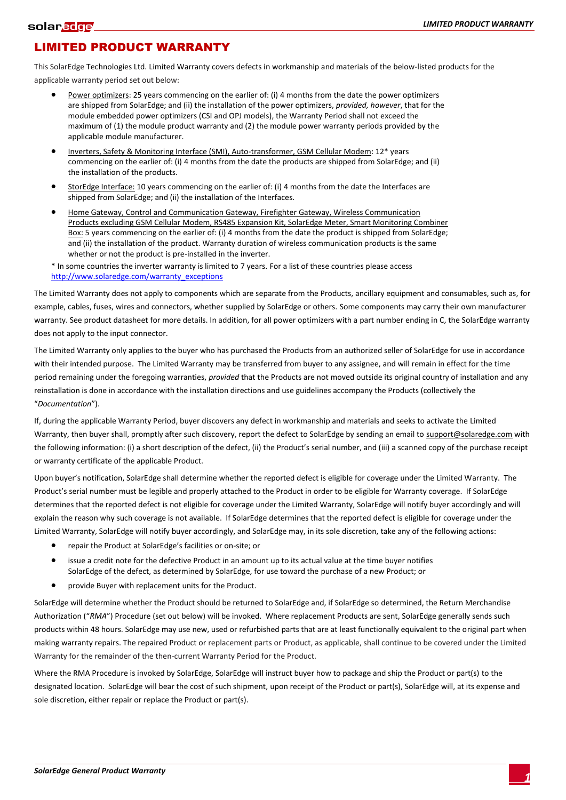## LIMITED PRODUCT WARRANTY

This SolarEdge Technologies Ltd. Limited Warranty covers defects in workmanship and materials of the below-listed products for the applicable warranty period set out below:

- Power optimizers: 25 years commencing on the earlier of: (i) 4 months from the date the power optimizers are shipped from SolarEdge; and (ii) the installation of the power optimizers, *provided, however*, that for the module embedded power optimizers (CSI and OPJ models), the Warranty Period shall not exceed the maximum of (1) the module product warranty and (2) the module power warranty periods provided by the applicable module manufacturer.
- Inverters, Safety & Monitoring Interface (SMI), Auto-transformer, GSM Cellular Modem: 12\* years commencing on the earlier of: (i) 4 months from the date the products are shipped from SolarEdge; and (ii) the installation of the products.
- StorEdge Interface: 10 years commencing on the earlier of: (i) 4 months from the date the Interfaces are shipped from SolarEdge; and (ii) the installation of the Interfaces.
- Home Gateway, Control and Communication Gateway, Firefighter Gateway, Wireless Communication Products excluding GSM Cellular Modem, RS485 Expansion Kit, SolarEdge Meter, Smart Monitoring Combiner Box: 5 years commencing on the earlier of: (i) 4 months from the date the product is shipped from SolarEdge; and (ii) the installation of the product. Warranty duration of wireless communication products is the same whether or not the product is pre-installed in the inverter.

\* In some countries the inverter warranty is limited to 7 years. For a list of these countries please access http://www.solaredge.com/warranty\_exceptions

The Limited Warranty does not apply to components which are separate from the Products, ancillary equipment and consumables, such as, for example, cables, fuses, wires and connectors, whether supplied by SolarEdge or others. Some components may carry their own manufacturer warranty. See product datasheet for more details. In addition, for all power optimizers with a part number ending in C, the SolarEdge warranty does not apply to the input connector.

The Limited Warranty only applies to the buyer who has purchased the Products from an authorized seller of SolarEdge for use in accordance with their intended purpose. The Limited Warranty may be transferred from buyer to any assignee, and will remain in effect for the time period remaining under the foregoing warranties, *provided* that the Products are not moved outside its original country of installation and any reinstallation is done in accordance with the installation directions and use guidelines accompany the Products (collectively the ͞*Documentation*͟Ϳ.

If, during the applicable Warranty Period, buyer discovers any defect in workmanship and materials and seeks to activate the Limited Warranty, then buyer shall, promptly after such discovery, report the defect to SolarEdge by sending an email to support@solaredge.com with the following information: (i) a short description of the defect, (ii) the Product's serial number, and (iii) a scanned copy of the purchase receipt or warranty certificate of the applicable Product.

Upon buyer's notification, SolarEdge shall determine whether the reported defect is eligible for coverage under the Limited Warranty. The Product's serial number must be legible and properly attached to the Product in order to be eligible for Warranty coverage. If SolarEdge determines that the reported defect is not eligible for coverage under the Limited Warranty, SolarEdge will notify buyer accordingly and will explain the reason why such coverage is not available. If SolarEdge determines that the reported defect is eligible for coverage under the Limited Warranty, SolarEdge will notify buyer accordingly, and SolarEdge may, in its sole discretion, take any of the following actions:

- repair the Product at SolarEdge's facilities or on-site; or
- issue a credit note for the defective Product in an amount up to its actual value at the time buyer notifies SolarEdge of the defect, as determined by SolarEdge, for use toward the purchase of a new Product; or
- provide Buyer with replacement units for the Product.

SolarEdge will determine whether the Product should be returned to SolarEdge and, if SolarEdge so determined, the Return Merchandise Authorization ("RMA") Procedure (set out below) will be invoked. Where replacement Products are sent, SolarEdge generally sends such products within 48 hours. SolarEdge may use new, used or refurbished parts that are at least functionally equivalent to the original part when making warranty repairs. The repaired Product or replacement parts or Product, as applicable, shall continue to be covered under the Limited Warranty for the remainder of the then-current Warranty Period for the Product.

Where the RMA Procedure is invoked by SolarEdge, SolarEdge will instruct buyer how to package and ship the Product or part(s) to the designated location. SolarEdge will bear the cost of such shipment, upon receipt of the Product or part(s), SolarEdge will, at its expense and sole discretion, either repair or replace the Product or part(s).